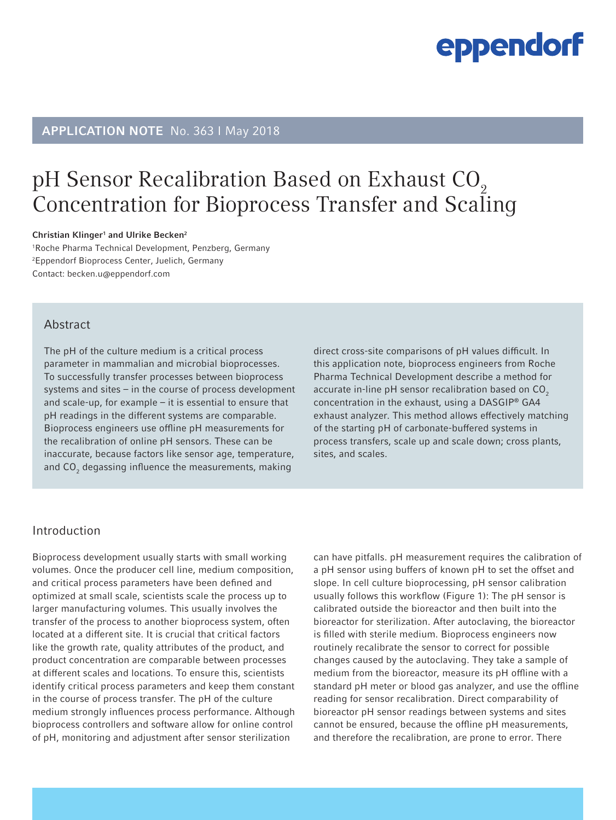# APPLICATION NOTE No. 363 I May 2018

# pH Sensor Recalibration Based on Exhaust CO<sub>2</sub> Concentration for Bioprocess Transfer and Scaling

#### Christian Klinger<sup>1</sup> and Ulrike Becken<sup>2</sup>

1 Roche Pharma Technical Development, Penzberg, Germany 2 Eppendorf Bioprocess Center, Juelich, Germany Contact: becken.u@eppendorf.com

## **Abstract**

The pH of the culture medium is a critical process parameter in mammalian and microbial bioprocesses. To successfully transfer processes between bioprocess systems and sites – in the course of process development and scale-up, for example – it is essential to ensure that pH readings in the different systems are comparable. Bioprocess engineers use offline pH measurements for the recalibration of online pH sensors. These can be inaccurate, because factors like sensor age, temperature, and CO $_{\rm 2}$  degassing influence the measurements, making

direct cross-site comparisons of pH values difficult. In this application note, bioprocess engineers from Roche Pharma Technical Development describe a method for accurate in-line pH sensor recalibration based on  $CO<sub>2</sub>$ concentration in the exhaust, using a DASGIP® GA4 exhaust analyzer. This method allows effectively matching of the starting pH of carbonate-buffered systems in process transfers, scale up and scale down; cross plants, sites, and scales.

# Introduction

Bioprocess development usually starts with small working volumes. Once the producer cell line, medium composition, and critical process parameters have been defined and optimized at small scale, scientists scale the process up to larger manufacturing volumes. This usually involves the transfer of the process to another bioprocess system, often located at a different site. It is crucial that critical factors like the growth rate, quality attributes of the product, and product concentration are comparable between processes at different scales and locations. To ensure this, scientists identify critical process parameters and keep them constant in the course of process transfer. The pH of the culture medium strongly influences process performance. Although bioprocess controllers and software allow for online control of pH, monitoring and adjustment after sensor sterilization

can have pitfalls. pH measurement requires the calibration of a pH sensor using buffers of known pH to set the offset and slope. In cell culture bioprocessing, pH sensor calibration usually follows this workflow (Figure 1): The pH sensor is calibrated outside the bioreactor and then built into the bioreactor for sterilization. After autoclaving, the bioreactor is filled with sterile medium. Bioprocess engineers now routinely recalibrate the sensor to correct for possible changes caused by the autoclaving. They take a sample of medium from the bioreactor, measure its pH offline with a standard pH meter or blood gas analyzer, and use the offline reading for sensor recalibration. Direct comparability of bioreactor pH sensor readings between systems and sites cannot be ensured, because the offline pH measurements, and therefore the recalibration, are prone to error. There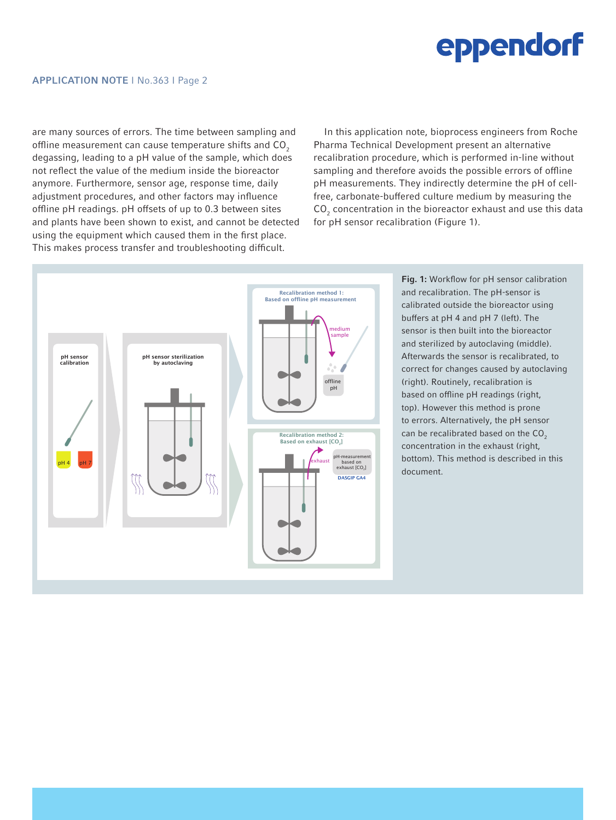are many sources of errors. The time between sampling and offline measurement can cause temperature shifts and CO<sub>2</sub> degassing, leading to a pH value of the sample, which does not reflect the value of the medium inside the bioreactor anymore. Furthermore, sensor age, response time, daily adjustment procedures, and other factors may influence offline pH readings. pH offsets of up to 0.3 between sites and plants have been shown to exist, and cannot be detected using the equipment which caused them in the first place. This makes process transfer and troubleshooting difficult.

In this application note, bioprocess engineers from Roche Pharma Technical Development present an alternative recalibration procedure, which is performed in-line without sampling and therefore avoids the possible errors of offline pH measurements. They indirectly determine the pH of cellfree, carbonate-buffered culture medium by measuring the  $CO<sub>2</sub>$  concentration in the bioreactor exhaust and use this data for pH sensor recalibration (Figure 1).



Fig. 1: Workflow for pH sensor calibration and recalibration. The pH-sensor is calibrated outside the bioreactor using buffers at pH 4 and pH 7 (left). The sensor is then built into the bioreactor and sterilized by autoclaving (middle). Afterwards the sensor is recalibrated, to correct for changes caused by autoclaving (right). Routinely, recalibration is based on offline pH readings (right, top). However this method is prone to errors. Alternatively, the pH sensor can be recalibrated based on the  $CO<sub>2</sub>$ concentration in the exhaust (right, bottom). This method is described in this document.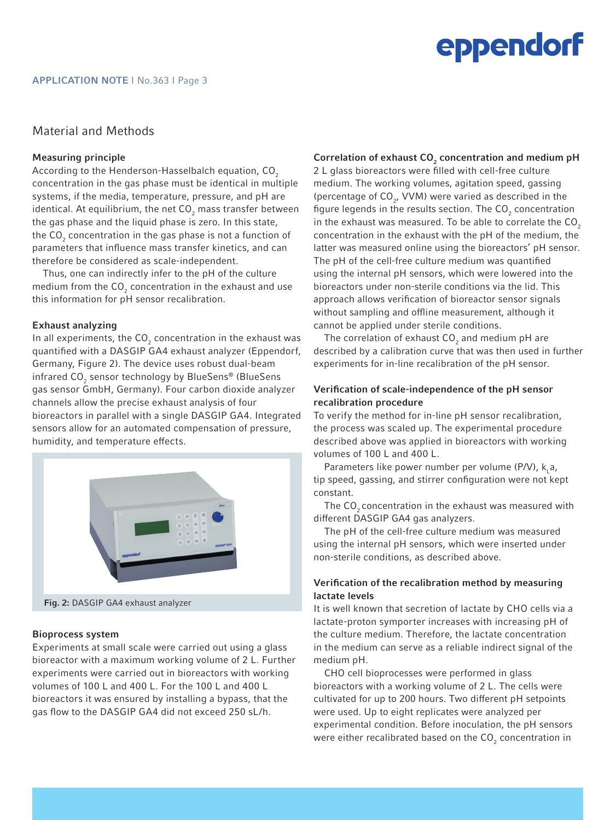### Material and Methods

### Measuring principle

According to the Henderson-Hasselbalch equation, CO<sub>2</sub> concentration in the gas phase must be identical in multiple systems, if the media, temperature, pressure, and pH are identical. At equilibrium, the net CO $_{\rm z}$  mass transfer between the gas phase and the liquid phase is zero. In this state, the CO $_{_2}$  concentration in the gas phase is not a function of parameters that influence mass transfer kinetics, and can therefore be considered as scale-independent.

Thus, one can indirectly infer to the pH of the culture medium from the CO $_{_2}$  concentration in the exhaust and use this information for pH sensor recalibration.

### Exhaust analyzing

In all experiments, the  $\mathsf{CO}_2$  concentration in the exhaust was quantified with a DASGIP GA4 exhaust analyzer (Eppendorf, Germany, Figure 2). The device uses robust dual-beam infrared CO $_{\tiny 2}$  sensor technology by BlueSens® (BlueSens gas sensor GmbH, Germany). Four carbon dioxide analyzer channels allow the precise exhaust analysis of four bioreactors in parallel with a single DASGIP GA4. Integrated sensors allow for an automated compensation of pressure, humidity, and temperature effects.



### Bioprocess system

Experiments at small scale were carried out using a glass bioreactor with a maximum working volume of 2 L. Further experiments were carried out in bioreactors with working volumes of 100 L and 400 L. For the 100 L and 400 L bioreactors it was ensured by installing a bypass, that the gas flow to the DASGIP GA4 did not exceed 250 sL/h.

## Correlation of exhaust  $\mathsf{CO}_2$  concentration and medium pH

2 L glass bioreactors were filled with cell-free culture medium. The working volumes, agitation speed, gassing (percentage of  $CO<sub>2</sub>$ , VVM) were varied as described in the figure legends in the results section. The  $\textsf{CO}_2$  concentration in the exhaust was measured. To be able to correlate the  $CO<sub>2</sub>$ concentration in the exhaust with the pH of the medium, the latter was measured online using the bioreactors' pH sensor. The pH of the cell-free culture medium was quantified using the internal pH sensors, which were lowered into the bioreactors under non-sterile conditions via the lid. This approach allows verification of bioreactor sensor signals without sampling and offline measurement, although it cannot be applied under sterile conditions.

The correlation of exhaust  $CO<sub>2</sub>$  and medium pH are described by a calibration curve that was then used in further experiments for in-line recalibration of the pH sensor.

#### Verification of scale-independence of the pH sensor recalibration procedure

To verify the method for in-line pH sensor recalibration, the process was scaled up. The experimental procedure described above was applied in bioreactors with working volumes of 100 L and 400 L.

Parameters like power number per volume (P/V),  $k_{1}a_{1}$ , tip speed, gassing, and stirrer configuration were not kept constant.

The CO<sub>2</sub> concentration in the exhaust was measured with different DASGIP GA4 gas analyzers.

The pH of the cell-free culture medium was measured using the internal pH sensors, which were inserted under non-sterile conditions, as described above.

### Verification of the recalibration method by measuring lactate levels

It is well known that secretion of lactate by CHO cells via a lactate-proton symporter increases with increasing pH of the culture medium. Therefore, the lactate concentration in the medium can serve as a reliable indirect signal of the medium pH.

CHO cell bioprocesses were performed in glass bioreactors with a working volume of 2 L. The cells were cultivated for up to 200 hours. Two different pH setpoints were used. Up to eight replicates were analyzed per experimental condition. Before inoculation, the pH sensors were either recalibrated based on the  $\mathsf{CO}_2$  concentration in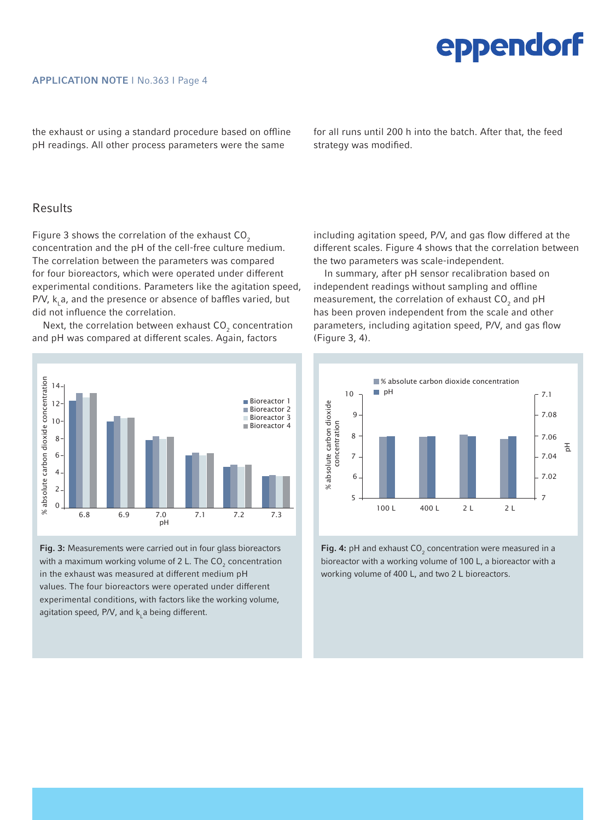the exhaust or using a standard procedure based on offline pH readings. All other process parameters were the same

for all runs until 200 h into the batch. After that, the feed strategy was modified.

### Results

Figure 3 shows the correlation of the exhaust  $CO<sub>2</sub>$ concentration and the pH of the cell-free culture medium. The correlation between the parameters was compared for four bioreactors, which were operated under different experimental conditions. Parameters like the agitation speed,  $P/V$ ,  $k$ , a, and the presence or absence of baffles varied, but did not influence the correlation.

Next, the correlation between exhaust  $\mathsf{CO}_2$  concentration and pH was compared at different scales. Again, factors



Fig. 3: Measurements were carried out in four glass bioreactors with a maximum working volume of 2 L. The  $\textsf{CO}_2$  concentration in the exhaust was measured at different medium pH values. The four bioreactors were operated under different experimental conditions, with factors like the working volume, agitation speed, P/V, and  $k<sub>L</sub>$ a being different.

including agitation speed, P/V, and gas flow differed at the different scales. Figure 4 shows that the correlation between the two parameters was scale-independent.

In summary, after pH sensor recalibration based on independent readings without sampling and offline measurement, the correlation of exhaust  $CO_2$  and pH has been proven independent from the scale and other parameters, including agitation speed, P/V, and gas flow (Figure 3, 4).



Fig. 4: pH and exhaust  $CO<sub>2</sub>$  concentration were measured in a bioreactor with a working volume of 100 L, a bioreactor with a working volume of 400 L, and two 2 L bioreactors.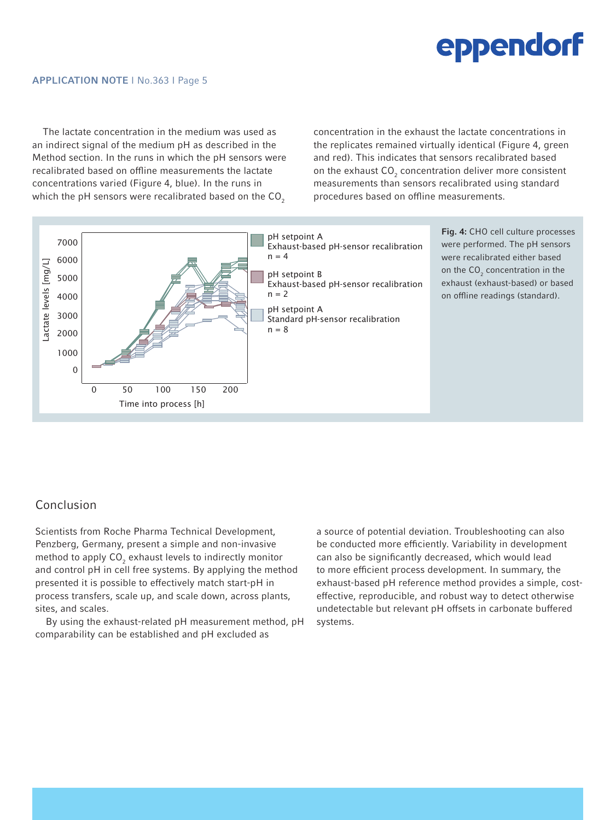The lactate concentration in the medium was used as an indirect signal of the medium pH as described in the Method section. In the runs in which the pH sensors were recalibrated based on offline measurements the lactate concentrations varied (Figure 4, blue). In the runs in which the pH sensors were recalibrated based on the  $CO<sub>2</sub>$ 

concentration in the exhaust the lactate concentrations in the replicates remained virtually identical (Figure 4, green and red). This indicates that sensors recalibrated based on the exhaust  $\mathsf{CO}_2$  concentration deliver more consistent measurements than sensors recalibrated using standard procedures based on offline measurements.



# Conclusion

Scientists from Roche Pharma Technical Development, Penzberg, Germany, present a simple and non-invasive method to apply  $\mathsf{CO}_2$  exhaust levels to indirectly monitor and control pH in cell free systems. By applying the method presented it is possible to effectively match start-pH in process transfers, scale up, and scale down, across plants, sites, and scales.

By using the exhaust-related pH measurement method, pH comparability can be established and pH excluded as

a source of potential deviation. Troubleshooting can also be conducted more efficiently. Variability in development can also be significantly decreased, which would lead to more efficient process development. In summary, the exhaust-based pH reference method provides a simple, costeffective, reproducible, and robust way to detect otherwise undetectable but relevant pH offsets in carbonate buffered systems.